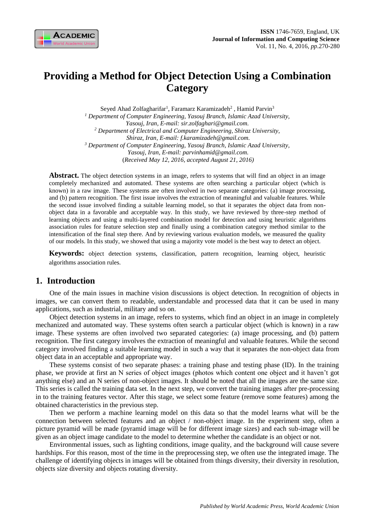

# **Providing a Method for Object Detection Using a Combination Category**

Seyed Ahad Zolfagharifar<sup>1</sup>, Faramarz Karamizadeh<sup>2</sup>, Hamid Parvin<sup>3</sup> *<sup>1</sup> Department of Computer Engineering, Yasouj Branch, Islamic Azad University, Yasouj, Iran, E-mail: sir.zolfaghari@gmail.com. <sup>2</sup> Department of Electrical and Computer Engineering, Shiraz University, Shiraz, Iran, E-mail: f.karamizadeh@gmail.com. <sup>3</sup> Department of Computer Engineering, Yasouj Branch, Islamic Azad University, Yasouj, Iran, E-mail: parvinhamid@gmail.com.* (*Received May 12, 2016, accepted August 21, 2016)*

Abstract. The object detection systems in an image, refers to systems that will find an object in an image completely mechanized and automated. These systems are often searching a particular object (which is known) in a raw image. These systems are often involved in two separate categories: (a) image processing, and (b) pattern recognition. The first issue involves the extraction of meaningful and valuable features. While the second issue involved finding a suitable learning model, so that it separates the object data from nonobject data in a favorable and acceptable way. In this study, we have reviewed by three-step method of learning objects and using a multi-layered combination model for detection and using heuristic algorithms association rules for feature selection step and finally using a combination category method similar to the intensification of the final step there. And by reviewing various evaluation models, we measured the quality of our models. In this study, we showed that using a majority vote model is the best way to detect an object.

**Keywords:** object detection systems, classification, pattern recognition, learning object, heuristic algorithms association rules.

# **1. Introduction**

One of the main issues in machine vision discussions is object detection. In recognition of objects in images, we can convert them to readable, understandable and processed data that it can be used in many applications, such as industrial, military and so on.

Object detection systems in an image, refers to systems, which find an object in an image in completely mechanized and automated way. These systems often search a particular object (which is known) in a raw image. These systems are often involved two separated categories: (a) image processing, and (b) pattern recognition. The first category involves the extraction of meaningful and valuable features. While the second category involved finding a suitable learning model in such a way that it separates the non-object data from object data in an acceptable and appropriate way.

These systems consist of two separate phases: a training phase and testing phase (ID). In the training phase, we provide at first an N series of object images (photos which content one object and it haven't got anything else) and an N series of non-object images. It should be noted that all the images are the same size. This series is called the training data set. In the next step, we convert the training images after pre-processing in to the training features vector. After this stage, we select some feature (remove some features) among the obtained characteristics in the previous step.

Then we perform a machine learning model on this data so that the model learns what will be the connection between selected features and an object / non-object image. In the experiment step, often a picture pyramid will be made (pyramid image will be for different image sizes) and each sub-image will be given as an object image candidate to the model to determine whether the candidate is an object or not.

Environmental issues, such as lighting conditions, image quality, and the background will cause severe hardships. For this reason, most of the time in the preprocessing step, we often use the integrated image. The challenge of identifying objects in images will be obtained from things diversity, their diversity in resolution, objects size diversity and objects rotating diversity.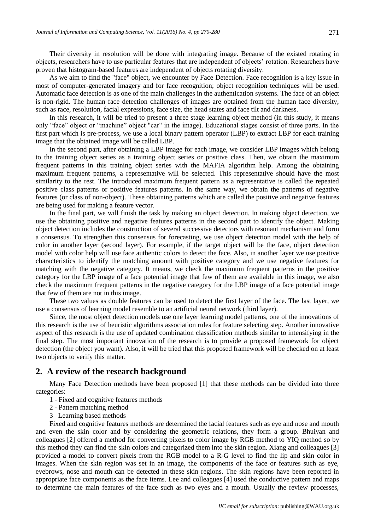Their diversity in resolution will be done with integrating image. Because of the existed rotating in objects, researchers have to use particular features that are independent of objects' rotation. Researchers have proven that histogram-based features are independent of objects rotating diversity.

As we aim to find the "face" object, we encounter by Face Detection. Face recognition is a key issue in most of computer-generated imagery and for face recognition; object recognition techniques will be used. Automatic face detection is as one of the main challenges in the authentication systems. The face of an object is non-rigid. The human face detection challenges of images are obtained from the human face diversity, such as race, resolution, facial expressions, face size, the head states and face tilt and darkness.

In this research, it will be tried to present a three stage learning object method (in this study, it means only "face" object or "machine" object "car" in the image). Educational stages consist of three parts. In the first part which is pre-process, we use a local binary pattern operator (LBP) to extract LBP for each training image that the obtained image will be called LBP.

In the second part, after obtaining a LBP image for each image, we consider LBP images which belong to the training object series as a training object series or positive class. Then, we obtain the maximum frequent patterns in this training object series with the MAFIA algorithm help. Among the obtaining maximum frequent patterns, a representative will be selected. This representative should have the most similarity to the rest. The introduced maximum frequent pattern as a representative is called the repeated positive class patterns or positive features patterns. In the same way, we obtain the patterns of negative features (or class of non-object). These obtaining patterns which are called the positive and negative features are being used for making a feature vector.

In the final part, we will finish the task by making an object detection. In making object detection, we use the obtaining positive and negative features patterns in the second part to identify the object. Making object detection includes the construction of several successive detectors with resonant mechanism and form a consensus. To strengthen this consensus for forecasting, we use object detection model with the help of color in another layer (second layer). For example, if the target object will be the face, object detection model with color help will use face authentic colors to detect the face. Also, in another layer we use positive characteristics to identify the matching amount with positive category and we use negative features for matching with the negative category. It means, we check the maximum frequent patterns in the positive category for the LBP image of a face potential image that few of them are available in this image, we also check the maximum frequent patterns in the negative category for the LBP image of a face potential image that few of them are not in this image.

These two values as double features can be used to detect the first layer of the face. The last layer, we use a consensus of learning model resemble to an artificial neural network (third layer).

Since, the most object detection models use one layer learning model patterns, one of the innovations of this research is the use of heuristic algorithms association rules for feature selecting step. Another innovative aspect of this research is the use of updated combination classification methods similar to intensifying in the final step. The most important innovation of the research is to provide a proposed framework for object detection (the object you want). Also, it will be tried that this proposed framework will be checked on at least two objects to verify this matter.

# **2. A review of the research background**

Many Face Detection methods have been proposed [1] that these methods can be divided into three categories:

- 1 Fixed and cognitive features methods
- 2 Pattern matching method
- 3 –Learning based methods

Fixed and cognitive features methods are determined the facial features such as eye and nose and mouth and even the skin color and by considering the geometric relations, they form a group. Bhuiyan and colleagues [2] offered a method for converting pixels to color image by RGB method to YIQ method so by this method they can find the skin colors and categorized them into the skin region. Xiang and colleagues [3] provided a model to convert pixels from the RGB model to a R-G level to find the lip and skin color in images. When the skin region was set in an image, the components of the face or features such as eye, eyebrows, nose and mouth can be detected in these skin regions. The skin regions have been reported in appropriate face components as the face items. Lee and colleagues [4] used the conductive pattern and maps to determine the main features of the face such as two eyes and a mouth. Usually the review processes,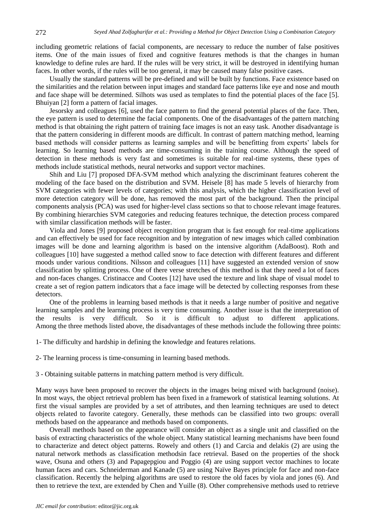including geometric relations of facial components, are necessary to reduce the number of false positives items. One of the main issues of fixed and cognitive features methods is that the changes in human knowledge to define rules are hard. If the rules will be very strict, it will be destroyed in identifying human faces. In other words, if the rules will be too general, it may be caused many false positive cases.

Usually the standard patterns will be pre-defined and will be built by functions. Face existence based on the similarities and the relation between input images and standard face patterns like eye and nose and mouth and face shape will be determined. Silhots was used as templates to find the potential places of the face [5]. Bhuiyan [2] form a pattern of facial images.

Jesorsky and colleagues [6], used the face pattern to find the general potential places of the face. Then, the eye pattern is used to determine the facial components. One of the disadvantages of the pattern matching method is that obtaining the right pattern of training face images is not an easy task. Another disadvantage is that the pattern considering in different moods are difficult. In contrast of pattern matching method, learning based methods will consider patterns as learning samples and will be benefitting from experts' labels for learning. So learning based methods are time-consuming in the training course. Although the speed of detection in these methods is very fast and sometimes is suitable for real-time systems, these types of methods include statistical methods, neural networks and support vector machines.

Shih and Liu [7] proposed DFA-SVM method which analyzing the discriminant features coherent the modeling of the face based on the distribution and SVM. Heisele [8] has made 5 levels of hierarchy from SVM categories with fewer levels of categories; with this analysis, which the higher classification level of more detection category will be done, has removed the most part of the background. Then the principal components analysis (PCA) was used for higher-level class sections so that to choose relevant image features. By combining hierarchies SVM categories and reducing features technique, the detection process compared with similar classification methods will be faster.

Viola and Jones [9] proposed object recognition program that is fast enough for real-time applications and can effectively be used for face recognition and by integration of new images which called combination images will be done and learning algorithm is based on the intensive algorithm (AdaBoost). Roth and colleagues [10] have suggested a method called snow to face detection with different features and different moods under various conditions. Nilsson and colleagues [11] have suggested an extended version of snow classification by splitting process. One of there verse stretches of this method is that they need a lot of faces and non-faces changes. Cristinacce and Cootes [12] have used the texture and link shape of visual model to create a set of region pattern indicators that a face image will be detected by collecting responses from these detectors.

One of the problems in learning based methods is that it needs a large number of positive and negative learning samples and the learning process is very time consuming. Another issue is that the interpretation of the results is very difficult. So it is difficult to adjust to different applications. Among the three methods listed above, the disadvantages of these methods include the following three points:

- 1- The difficulty and hardship in defining the knowledge and features relations.
- 2- The learning process is time-consuming in learning based methods.
- 3 Obtaining suitable patterns in matching pattern method is very difficult.

Many ways have been proposed to recover the objects in the images being mixed with background (noise). In most ways, the object retrieval problem has been fixed in a framework of statistical learning solutions. At first the visual samples are provided by a set of attributes, and then learning techniques are used to detect objects related to favorite category. Generally, these methods can be classified into two groups: overall methods based on the appearance and methods based on components.

Overall methods based on the appearance will consider an object as a single unit and classified on the basis of extracting characteristics of the whole object. Many statistical learning mechanisms have been found to characterize and detect object patterns. Rowely and others (1) and Carcia and delakis (2) are using the natural network methods as classification methodsin face retrieval. Based on the properties of the shock wave, Osuna and others (3) and Papagepgiou and Poggio (4) are using support vector machines to locate human faces and cars. Schneiderman and Kanade (5) are using Na  $\gamma$  be Bayes principle for face and non-face classification. Recently the helping algorithms are used to restore the old faces by viola and jones (6). And then to retrieve the text, are extended by Chen and Yuille (8). Other comprehensive methods used to retrieve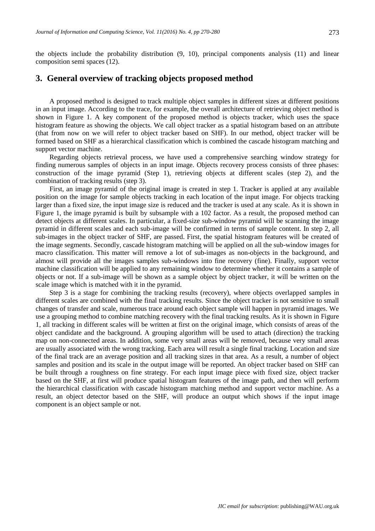the objects include the probability distribution (9, 10), principal components analysis (11) and linear composition semi spaces (12).

# **3. General overview of tracking objects proposed method**

A proposed method is designed to track multiple object samples in different sizes at different positions in an input image. According to the trace, for example, the overall architecture of retrieving object method is shown in Figure 1. A key component of the proposed method is objects tracker, which uses the space histogram feature as showing the objects. We call object tracker as a spatial histogram based on an attribute (that from now on we will refer to object tracker based on SHF). In our method, object tracker will be formed based on SHF as a hierarchical classification which is combined the cascade histogram matching and support vector machine.

Regarding objects retrieval process, we have used a comprehensive searching window strategy for finding numerous samples of objects in an input image. Objects recovery process consists of three phases: construction of the image pyramid (Step 1), retrieving objects at different scales (step 2), and the combination of tracking results (step 3).

First, an image pyramid of the original image is created in step 1. Tracker is applied at any available position on the image for sample objects tracking in each location of the input image. For objects tracking larger than a fixed size, the input image size is reduced and the tracker is used at any scale. As it is shown in Figure 1, the image pyramid is built by subsample with a 102 factor. As a result, the proposed method can detect objects at different scales. In particular, a fixed-size sub-window pyramid will be scanning the image pyramid in different scales and each sub-image will be confirmed in terms of sample content. In step 2, all sub-images in the object tracker of SHF, are passed. First, the spatial histogram features will be created of the image segments. Secondly, cascade histogram matching will be applied on all the sub-window images for macro classification. This matter will remove a lot of sub-images as non-objects in the background, and almost will provide all the images samples sub-windows into fine recovery (fine). Finally, support vector machine classification will be applied to any remaining window to determine whether it contains a sample of objects or not. If a sub-image will be shown as a sample object by object tracker, it will be written on the scale image which is matched with it in the pyramid.

Step 3 is a stage for combining the tracking results (recovery), where objects overlapped samples in different scales are combined with the final tracking results. Since the object tracker is not sensitive to small changes of transfer and scale, numerous trace around each object sample will happen in pyramid images. We use a grouping method to combine matching recovery with the final tracking results. As it is shown in Figure 1, all tracking in different scales will be written at first on the original image, which consists of areas of the object candidate and the background. A grouping algorithm will be used to attach (direction) the tracking map on non-connected areas. In addition, some very small areas will be removed, because very small areas are usually associated with the wrong tracking. Each area will result a single final tracking. Location and size of the final track are an average position and all tracking sizes in that area. As a result, a number of object samples and position and its scale in the output image will be reported. An object tracker based on SHF can be built through a roughness on fine strategy. For each input image piece with fixed size, object tracker based on the SHF, at first will produce spatial histogram features of the image path, and then will perform the hierarchical classification with cascade histogram matching method and support vector machine. As a result, an object detector based on the SHF, will produce an output which shows if the input image component is an object sample or not.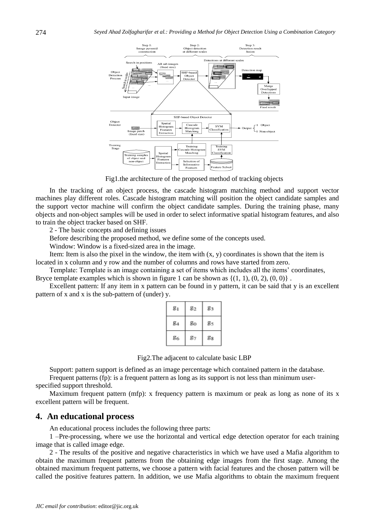

Fig1.the architecture of the proposed method of tracking objects

In the tracking of an object process, the cascade histogram matching method and support vector machines play different roles. Cascade histogram matching will position the object candidate samples and the support vector machine will confirm the object candidate samples. During the training phase, many objects and non-object samples will be used in order to select informative spatial histogram features, and also to train the object tracker based on SHF.

2 - The basic concepts and defining issues

Before describing the proposed method, we define some of the concepts used.

Window: Window is a fixed-sized area in the image.

Item: Item is also the pixel in the window, the item with  $(x, y)$  coordinates is shown that the item is located in x column and y row and the number of columns and rows have started from zero.

Template: Template is an image containing a set of items which includes all the items' coordinates, Bryce template examples which is shown in figure 1 can be shown as  $\{(1, 1), (0, 2), (0, 0)\}\$ .

Excellent pattern: If any item in x pattern can be found in y pattern, it can be said that y is an excellent pattern of x and x is the sub-pattern of (under) y.

| $g_1$          | $g_2$ | $g_3$        |
|----------------|-------|--------------|
| g <sub>4</sub> | $g_0$ | g.           |
| 86             | $g_7$ | $_{\rm g_3}$ |

| Fig2. The adjacent to calculate basic LBP |  |  |  |
|-------------------------------------------|--|--|--|
|                                           |  |  |  |

Support: pattern support is defined as an image percentage which contained pattern in the database.

Frequent patterns (fp): is a frequent pattern as long as its support is not less than minimum userspecified support threshold.

Maximum frequent pattern (mfp): x frequency pattern is maximum or peak as long as none of its x excellent pattern will be frequent.

#### **4. An educational process**

An educational process includes the following three parts:

1 –Pre-processing, where we use the horizontal and vertical edge detection operator for each training image that is called image edge.

2 - The results of the positive and negative characteristics in which we have used a Mafia algorithm to obtain the maximum frequent patterns from the obtaining edge images from the first stage. Among the obtained maximum frequent patterns, we choose a pattern with facial features and the chosen pattern will be called the positive features pattern. In addition, we use Mafia algorithms to obtain the maximum frequent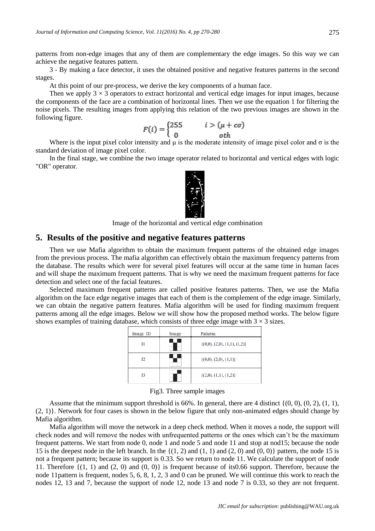patterns from non-edge images that any of them are complementary the edge images. So this way we can achieve the negative features pattern.

3 - By making a face detector, it uses the obtained positive and negative features patterns in the second stages.

At this point of our pre-process, we derive the key components of a human face.

Then we apply  $3 \times 3$  operators to extract horizontal and vertical edge images for input images, because the components of the face are a combination of horizontal lines. Then we use the equation 1 for filtering the noise pixels. The resulting images from applying this relation of the two previous images are shown in the following figure.

$$
F(i) = \begin{cases} 255 & i > (\mu + c\sigma) \\ 0 & oth \end{cases}
$$

Where is the input pixel color intensity and  $\mu$  is the moderate intensity of image pixel color and  $\sigma$  is the standard deviation of image pixel color.

In the final stage, we combine the two image operator related to horizontal and vertical edges with logic "OR" operator.



Image of the horizontal and vertical edge combination

## **5. Results of the positive and negative features patterns**

Then we use Mafia algorithm to obtain the maximum frequent patterns of the obtained edge images from the previous process. The mafia algorithm can effectively obtain the maximum frequency patterns from the database. The results which were for several pixel features will occur at the same time in human faces and will shape the maximum frequent patterns. That is why we need the maximum frequent patterns for face detection and select one of the facial features.

Selected maximum frequent patterns are called positive features patterns. Then, we use the Mafia algorithm on the face edge negative images that each of them is the complement of the edge image. Similarly, we can obtain the negative pattern features. Mafia algorithm will be used for finding maximum frequent patterns among all the edge images. Below we will show how the proposed method works. The below figure shows examples of training database, which consists of three edge image with  $3 \times 3$  sizes.

| Image ID | Image | Patterns                          |
|----------|-------|-----------------------------------|
| I1       |       | $\{(0,0), (2,0), (1,1), (1,2)\}\$ |
| 12       |       | $\{(0,0), (2,0), (1,1)\}\$        |
| 13       |       | $\{(2,0), (1,1), (1,2)\}\$        |

Fig3. Three sample images

Assume that the minimum support threshold is 66%. In general, there are 4 distinct  $\{(0, 0), (0, 2), (1, 1),$ (2, 1)}. Network for four cases is shown in the below figure that only non-animated edges should change by Mafia algorithm.

Mafia algorithm will move the network in a deep check method. When it moves a node, the support will check nodes and will remove the nodes with unfrequented patterns or the ones which can't be the maximum frequent patterns. We start from node 0, node 1 and node 5 and node 11 and stop at nod15; because the node 15 is the deepest node in the left branch. In the  $\{(1, 2)$  and  $(1, 1)$  and  $(2, 0)$  and  $(0, 0)\}$  pattern, the node 15 is not a frequent pattern; because its support is 0.33. So we return to node 11. We calculate the support of node 11. Therefore  $\{(1, 1)$  and  $(2, 0)$  and  $(0, 0)\}$  is frequent because of its0.66 support. Therefore, because the node 11pattern is frequent, nodes 5, 6, 8, 1, 2, 3 and 0 can be pruned. We will continue this work to reach the nodes 12, 13 and 7, because the support of node 12, node 13 and node 7 is 0.33, so they are not frequent.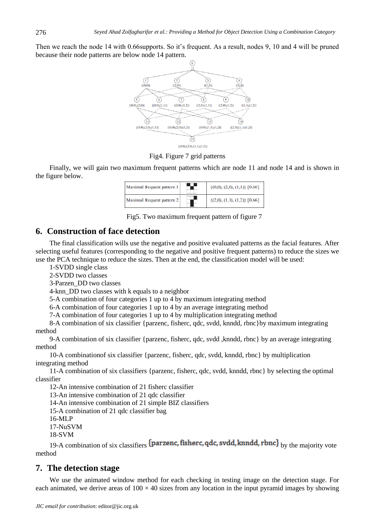Then we reach the node 14 with 0.66supports. So it's frequent. As a result, nodes 9, 10 and 4 will be pruned because their node patterns are below node 14 pattern.



Fig4. Figure 7 grid patterns

Finally, we will gain two maximum frequent patterns which are node 11 and node 14 and is shown in the figure below.

| Maximal frequent pattern 1 | $\{(0,0), (2,0), (1,1)\}\ [0.66]$ |
|----------------------------|-----------------------------------|
| Maximal frequent pattern 2 | $\{(2,0), (1,1), (1,2)\}\ [0.66]$ |

Fig5. Two maximum frequent pattern of figure 7

# **6. Construction of face detection**

The final classification wills use the negative and positive evaluated patterns as the facial features. After selecting useful features (corresponding to the negative and positive frequent patterns) to reduce the sizes we use the PCA technique to reduce the sizes. Then at the end, the classification model will be used:

1-SVDD single class

2-SVDD two classes

3-Parzen\_DD two classes

4-knn\_DD two classes with k equals to a neighbor

5-A combination of four categories 1 up to 4 by maximum integrating method

6-A combination of four categories 1 up to 4 by an average integrating method

7-A combination of four categories 1 up to 4 by multiplication integrating method

8-A combination of six classifier {parzenc, fisherc, qdc, svdd, knndd, rbnc}by maximum integrating method

9-A combination of six classifier {parzenc, fisherc, qdc, svdd ,knndd, rbnc} by an average integrating method

10-A combinationof six classifier {parzenc, fisherc, qdc, svdd, knndd, rbnc} by multiplication integrating method

11-A combination of six classifiers {parzenc, fisherc, qdc, svdd, knndd, rbnc} by selecting the optimal classifier

12-An intensive combination of 21 fisherc classifier

13-An intensive combination of 21 qdc classifier

14-An intensive combination of 21 simple BIZ classifiers

15-A combination of 21 qdc classifier bag

16-MLP

17-NuSVM

18-SVM

19-A combination of six classifiers  $\{ \text{parameter}, \text{qdc}, \text{svdd}, \text{knndd}, \text{rbnc} \}$  by the majority vote method

# **7. The detection stage**

We use the animated window method for each checking in testing image on the detection stage. For each animated, we derive areas of  $100 \times 40$  sizes from any location in the input pyramid images by showing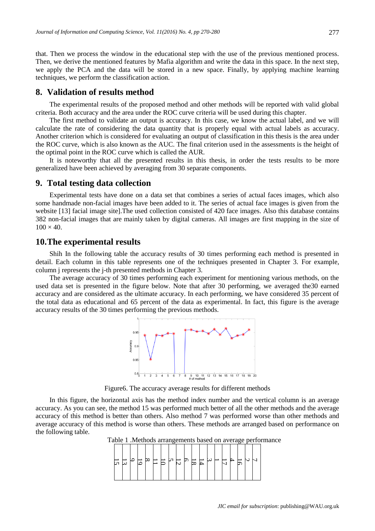that. Then we process the window in the educational step with the use of the previous mentioned process. Then, we derive the mentioned features by Mafia algorithm and write the data in this space. In the next step, we apply the PCA and the data will be stored in a new space. Finally, by applying machine learning techniques, we perform the classification action.

#### **8. Validation of results method**

The experimental results of the proposed method and other methods will be reported with valid global criteria. Both accuracy and the area under the ROC curve criteria will be used during this chapter.

The first method to validate an output is accuracy. In this case, we know the actual label, and we will calculate the rate of considering the data quantity that is properly equal with actual labels as accuracy. Another criterion which is considered for evaluating an output of classification in this thesis is the area under the ROC curve, which is also known as the AUC. The final criterion used in the assessments is the height of the optimal point in the ROC curve which is called the AUR.

It is noteworthy that all the presented results in this thesis, in order the tests results to be more generalized have been achieved by averaging from 30 separate components.

#### **9. Total testing data collection**

Experimental tests have done on a data set that combines a series of actual faces images, which also some handmade non-facial images have been added to it. The series of actual face images is given from the website [13] facial image site]. The used collection consisted of 420 face images. Also this database contains 382 non-facial images that are mainly taken by digital cameras. All images are first mapping in the size of  $100 \times 40$ .

## **10.The experimental results**

Shih In the following table the accuracy results of 30 times performing each method is presented in detail. Each column in this table represents one of the techniques presented in Chapter 3. For example, column j represents the j-th presented methods in Chapter 3.

The average accuracy of 30 times performing each experiment for mentioning various methods, on the used data set is presented in the figure below. Note that after 30 performing, we averaged the30 earned accuracy and are considered as the ultimate accuracy. In each performing, we have considered 35 percent of the total data as educational and 65 percent of the data as experimental. In fact, this figure is the average accuracy results of the 30 times performing the previous methods.



Figure6. The accuracy average results for different methods

In this figure, the horizontal axis has the method index number and the vertical column is an average accuracy. As you can see, the method 15 was performed much better of all the other methods and the average accuracy of this method is better than others. Also method 7 was performed worse than other methods and average accuracy of this method is worse than others. These methods are arranged based on performance on the following table.

Table 1 .Methods arrangements based on average performance

$$
\begin{bmatrix} -1 \\ 1 \\ 1 \\ 0 \end{bmatrix} \approx \begin{bmatrix} -1 \\ 1 \\ 1 \\ 0 \end{bmatrix} \approx \begin{bmatrix} -1 \\ 1 \\ 1 \\ 0 \end{bmatrix} \approx \begin{bmatrix} -1 \\ 1 \\ 1 \\ 0 \end{bmatrix} \approx \begin{bmatrix} -1 \\ 1 \\ 1 \\ 0 \end{bmatrix} \approx \begin{bmatrix} -1 \\ 1 \\ 1 \\ 1 \end{bmatrix} \approx \begin{bmatrix} -1 \\ 1 \\ 1 \\ 1 \end{bmatrix} \approx \begin{bmatrix} -1 \\ 1 \\ 1 \\ 1 \end{bmatrix} \approx \begin{bmatrix} -1 \\ 1 \\ 1 \\ 1 \end{bmatrix} \approx \begin{bmatrix} -1 \\ 1 \\ 1 \\ 1 \end{bmatrix} \approx \begin{bmatrix} -1 \\ 1 \\ 1 \\ 1 \end{bmatrix} \approx \begin{bmatrix} -1 \\ 1 \\ 1 \\ 1 \end{bmatrix} \approx \begin{bmatrix} -1 \\ 1 \\ 1 \\ 1 \end{bmatrix} \approx \begin{bmatrix} -1 \\ 1 \\ 1 \\ 1 \end{bmatrix} \approx \begin{bmatrix} -1 \\ 1 \\ 1 \\ 1 \end{bmatrix} \approx \begin{bmatrix} -1 \\ 1 \\ 1 \\ 1 \end{bmatrix} \approx \begin{bmatrix} -1 \\ 1 \\ 1 \end{bmatrix} \approx \begin{bmatrix} -1 \\ 1 \\ 1 \end{bmatrix} \approx \begin{bmatrix} -1 \\ 1 \\ 1 \end{bmatrix} \approx \begin{bmatrix} -1 \\ 1 \\ 1 \end{bmatrix} \approx \begin{bmatrix} -1 \\ 1 \\ 1 \end{bmatrix} \approx \begin{bmatrix} -1 \\ 1 \\ 1 \end{bmatrix} \approx \begin{bmatrix} -1 \\ 1 \\ 1 \end{bmatrix} \approx \begin{bmatrix} -1 \\ 1 \\ 1 \end{bmatrix} \approx \begin{bmatrix} -1 \\ 1 \\ 1 \end{bmatrix} \approx \begin{bmatrix} -1 \\ 1 \\ 1 \end{bmatrix} \approx \begin{bmatrix} -1 \\ 1 \\ 1 \end{bmatrix} \approx \begin{bmatrix} -1 \\ 1 \\ 1 \end{bmatrix} \approx \begin{bmatrix} -1 \\ 1 \\ 1 \end{bmatrix} \approx \begin{bmatrix} -1 \\ 1 \\ 1 \end{bmatrix} \approx \begin{bmatrix} -1 \\ 1 \\ 1 \end{bmatrix} \approx \begin{bmatrix} -1 \\ 1 \\ 1 \end{bmatrix} \approx \begin{bmatrix} -1
$$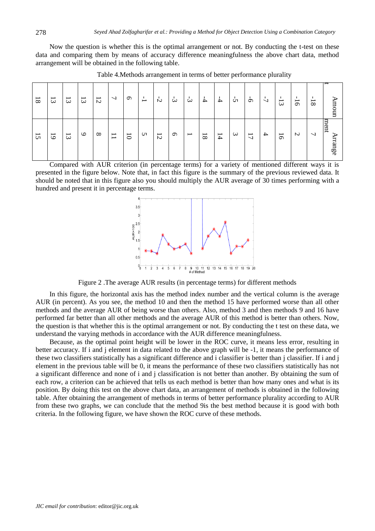Now the question is whether this is the optimal arrangement or not. By conducting the t-test on these data and comparing them by means of accuracy difference meaningfulness the above chart data, method arrangement will be obtained in the following table.

| ⇁<br>Amoun                           | ment<br>Arrange                                      |
|--------------------------------------|------------------------------------------------------|
| $\overline{\phantom{0}}$<br>$\infty$ | $\overline{\phantom{0}}$                             |
| т.<br>$\overline{5}$                 | $\triangleright$                                     |
| $\overline{\phantom{0}}$<br>$\omega$ | $\overline{6}$                                       |
| $\overline{L}$                       | $\rightarrow$                                        |
| $\sigma$                             | $\overline{L}$                                       |
| $\sim$                               | $\boldsymbol{\omega}$                                |
| $\frac{1}{4}$                        | 14                                                   |
| $\frac{1}{4}$                        | $\overline{\phantom{0}}$<br>$\infty$                 |
| ς,                                   | $\overline{\phantom{0}}$                             |
| ىئ                                   | $\sigma$                                             |
| $\overline{c}$                       | $\overline{5}$                                       |
| ∸                                    | S                                                    |
| $\sigma$                             | $\overline{5}$                                       |
| ┙                                    | $\overline{\phantom{0}}$<br>$\overline{\phantom{0}}$ |
| $\overline{5}$                       | $\infty$                                             |
| $\overline{3}$                       | $\circ$                                              |
| $\overline{3}$                       | $\overline{3}$                                       |
| $\overline{3}$                       | $\overline{6}$                                       |
| $8\,$                                | $5\overline{C}$                                      |

Table 4.Methods arrangement in terms of better performance plurality

Compared with AUR criterion (in percentage terms) for a variety of mentioned different ways it is presented in the figure below. Note that, in fact this figure is the summary of the previous reviewed data. It should be noted that in this figure also you should multiply the AUR average of 30 times performing with a hundred and present it in percentage terms.



Figure 2 .The average AUR results (in percentage terms) for different methods

In this figure, the horizontal axis has the method index number and the vertical column is the average AUR (in percent). As you see, the method 10 and then the method 15 have performed worse than all other methods and the average AUR of being worse than others. Also, method 3 and then methods 9 and 16 have performed far better than all other methods and the average AUR of this method is better than others. Now, the question is that whether this is the optimal arrangement or not. By conducting the t test on these data, we understand the varying methods in accordance with the AUR difference meaningfulness.

Because, as the optimal point height will be lower in the ROC curve, it means less error, resulting in better accuracy. If i and j element in data related to the above graph will be -1, it means the performance of these two classifiers statistically has a significant difference and i classifier is better than j classifier. If i and j element in the previous table will be 0, it means the performance of these two classifiers statistically has not a significant difference and none of i and j classification is not better than another. By obtaining the sum of each row, a criterion can be achieved that tells us each method is better than how many ones and what is its position. By doing this test on the above chart data, an arrangement of methods is obtained in the following table. After obtaining the arrangement of methods in terms of better performance plurality according to AUR from these two graphs, we can conclude that the method 9is the best method because it is good with both criteria. In the following figure, we have shown the ROC curve of these methods.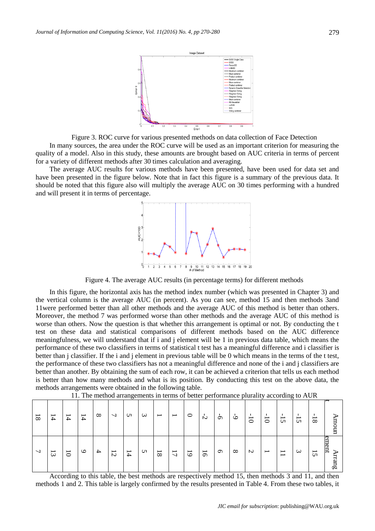

Figure 3. ROC curve for various presented methods on data collection of Face Detection

In many sources, the area under the ROC curve will be used as an important criterion for measuring the quality of a model. Also in this study, these amounts are brought based on AUC criteria in terms of percent for a variety of different methods after 30 times calculation and averaging.

The average AUC results for various methods have been presented, have been used for data set and have been presented in the figure below. Note that in fact this figure is a summary of the previous data. It should be noted that this figure also will multiply the average AUC on 30 times performing with a hundred and will present it in terms of percentage.



Figure 4. The average AUC results (in percentage terms) for different methods

In this figure, the horizontal axis has the method index number (which was presented in Chapter 3) and the vertical column is the average AUC (in percent). As you can see, method 15 and then methods 3and 11were performed better than all other methods and the average AUC of this method is better than others. Moreover, the method 7 was performed worse than other methods and the average AUC of this method is worse than others. Now the question is that whether this arrangement is optimal or not. By conducting the t test on these data and statistical comparisons of different methods based on the AUC difference meaningfulness, we will understand that if i and j element will be 1 in previous data table, which means the performance of these two classifiers in terms of statistical t test has a meaningful difference and i classifier is better than j classifier. If the i and j element in previous table will be 0 which means in the terms of the t test, the performance of these two classifiers has not a meaningful difference and none of the i and j classifiers are better than another. By obtaining the sum of each row, it can be achieved a criterion that tells us each method is better than how many methods and what is its position. By conducting this test on the above data, the methods arrangements were obtained in the following table.

| $\overline{\phantom{0}}$<br>⋗<br>ã<br>ь             | ment<br>↘<br>rrang                                   |
|-----------------------------------------------------|------------------------------------------------------|
| $\overline{\phantom{0}}$<br>$\infty$                | $5\overline{C}$                                      |
| $\mathbf{I}$<br>$\overline{\phantom{0}}$<br>S       | $\bm{\omega}$                                        |
| $\mathbf{I}$<br>$\overline{\phantom{0}}$<br>U       | $\overline{\phantom{0}}$<br>$\overline{\phantom{0}}$ |
| $\mathbf{I}$<br>$\overline{\phantom{0}}$<br>$\circ$ | $\overline{\phantom{0}}$                             |
| $\overline{\phantom{0}}$<br>$\circ$                 | $\sim$                                               |
| $\circ$                                             | $\infty$                                             |
| Ġ                                                   | $\sigma$                                             |
| Ņ                                                   | $\overline{5}$                                       |
| $\circ$                                             | $\overline{6}$                                       |
| $\overline{\phantom{0}}$                            | $\overline{\phantom{0}}$<br>$\overline{\phantom{0}}$ |
| $\overline{\phantom{0}}$                            | $\overline{\phantom{0}}$<br>$\infty$                 |
| $\omega$                                            | ળ                                                    |
| S                                                   | 14                                                   |
| ┙                                                   | $\overline{\phantom{0}}$<br>$\mathcal{L}$            |
| $\infty$                                            | $\rightarrow$                                        |
| I<br>$\rightarrow$                                  | $\circ$                                              |
| $\overline{\phantom{0}}$<br>$\rightarrow$           | $\overline{0}$                                       |
| $\overline{\phantom{0}}$<br>$\rightarrow$           | $\overline{\phantom{0}}$<br>$\omega$                 |
| $\overline{8}$                                      | $\overline{\phantom{0}}$                             |

11. The method arrangements in terms of better performance plurality according to AUR

According to this table, the best methods are respectively method 15, then methods 3 and 11, and then methods 1 and 2. This table is largely confirmed by the results presented in Table 4. From these two tables, it